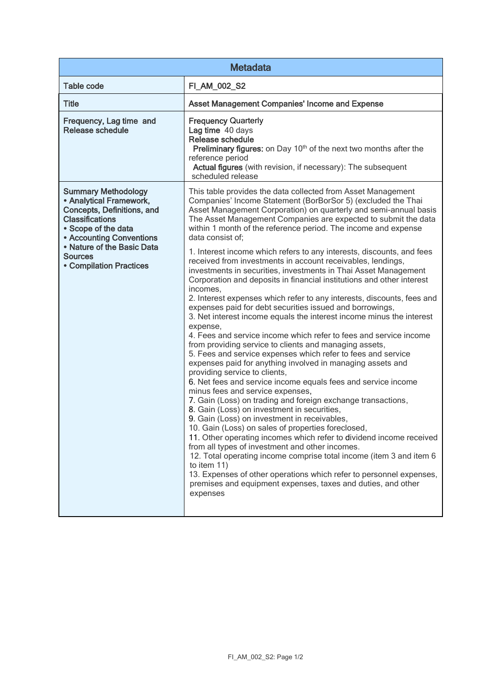| <b>Metadata</b>                                                                                                                                                         |                                                                                                                                                                                                                                                                                                                                                                                                                                                                                                                                                                                                                                                                                                                                                                                                                                                                                                                                                                                                                                                                                                                                                                                                                                                                                                                                                                                                                                                                                                                   |  |
|-------------------------------------------------------------------------------------------------------------------------------------------------------------------------|-------------------------------------------------------------------------------------------------------------------------------------------------------------------------------------------------------------------------------------------------------------------------------------------------------------------------------------------------------------------------------------------------------------------------------------------------------------------------------------------------------------------------------------------------------------------------------------------------------------------------------------------------------------------------------------------------------------------------------------------------------------------------------------------------------------------------------------------------------------------------------------------------------------------------------------------------------------------------------------------------------------------------------------------------------------------------------------------------------------------------------------------------------------------------------------------------------------------------------------------------------------------------------------------------------------------------------------------------------------------------------------------------------------------------------------------------------------------------------------------------------------------|--|
| <b>Table code</b>                                                                                                                                                       | FI_AM_002_S2                                                                                                                                                                                                                                                                                                                                                                                                                                                                                                                                                                                                                                                                                                                                                                                                                                                                                                                                                                                                                                                                                                                                                                                                                                                                                                                                                                                                                                                                                                      |  |
| <b>Title</b>                                                                                                                                                            | <b>Asset Management Companies' Income and Expense</b>                                                                                                                                                                                                                                                                                                                                                                                                                                                                                                                                                                                                                                                                                                                                                                                                                                                                                                                                                                                                                                                                                                                                                                                                                                                                                                                                                                                                                                                             |  |
| Frequency, Lag time and<br><b>Release schedule</b>                                                                                                                      | <b>Frequency Quarterly</b><br>Lag time 40 days<br><b>Release schedule</b><br><b>Preliminary figures:</b> on Day 10 <sup>th</sup> of the next two months after the<br>reference period<br>Actual figures (with revision, if necessary): The subsequent<br>scheduled release                                                                                                                                                                                                                                                                                                                                                                                                                                                                                                                                                                                                                                                                                                                                                                                                                                                                                                                                                                                                                                                                                                                                                                                                                                        |  |
| <b>Summary Methodology</b><br>• Analytical Framework,<br>Concepts, Definitions, and<br><b>Classifications</b><br>• Scope of the data<br><b>• Accounting Conventions</b> | This table provides the data collected from Asset Management<br>Companies' Income Statement (BorBorSor 5) (excluded the Thai<br>Asset Management Corporation) on quarterly and semi-annual basis<br>The Asset Management Companies are expected to submit the data<br>within 1 month of the reference period. The income and expense<br>data consist of:                                                                                                                                                                                                                                                                                                                                                                                                                                                                                                                                                                                                                                                                                                                                                                                                                                                                                                                                                                                                                                                                                                                                                          |  |
| • Nature of the Basic Data<br><b>Sources</b><br><b>• Compilation Practices</b>                                                                                          | 1. Interest income which refers to any interests, discounts, and fees<br>received from investments in account receivables, lendings,<br>investments in securities, investments in Thai Asset Management<br>Corporation and deposits in financial institutions and other interest<br>incomes,<br>2. Interest expenses which refer to any interests, discounts, fees and<br>expenses paid for debt securities issued and borrowings,<br>3. Net interest income equals the interest income minus the interest<br>expense,<br>4. Fees and service income which refer to fees and service income<br>from providing service to clients and managing assets,<br>5. Fees and service expenses which refer to fees and service<br>expenses paid for anything involved in managing assets and<br>providing service to clients,<br>6. Net fees and service income equals fees and service income<br>minus fees and service expenses,<br>7. Gain (Loss) on trading and foreign exchange transactions,<br>8. Gain (Loss) on investment in securities,<br>9. Gain (Loss) on investment in receivables,<br>10. Gain (Loss) on sales of properties foreclosed,<br>11. Other operating incomes which refer to dividend income received<br>from all types of investment and other incomes.<br>12. Total operating income comprise total income (item 3 and item 6<br>to item 11)<br>13. Expenses of other operations which refer to personnel expenses,<br>premises and equipment expenses, taxes and duties, and other<br>expenses |  |